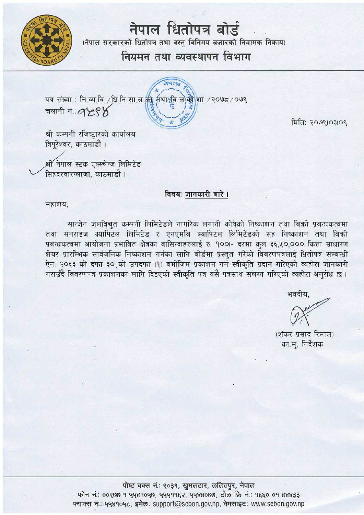

# नेपाल धितोपत्र बोर्ड

(नेपाल सरकारको धितोपत्र तथा वस्त विनिमय बजारको नियामक निकाय)

## नियमन तथा व्यवस्थापन विभाग

पत्र संख्या: नि.व्य.वि. /धि.नि.सा.ल.की निथा हिन.ले.की शा. / २०७८ / ०७९ चलानी नं∴⊘ ⊁९४

मिति: २०७९।०३१०९

श्री कम्पनी रजिष्टारको कार्यालय त्रिपरेश्वर. काठमाडौं ।

श्री नेपाल स्टक एक्स्चेन्ज लिमिटेड सिंहदरवारप्लाजा, काठमाडौं ।

#### विषय: जानकारी बारे ।

महाशय,

सान्जेन जलविद्यत कम्पनी लिमिटेडले नागरिक लगानी कोषको निष्काशन तथा बिकी प्रबन्धकत्वमा तथा सनराइज क्यापिटल लिमिटेड र एनएमबि क्यापिटल लिमिटेडको सह निष्काशन तथा बिकी प्रबन्धकत्वमा आयोजना प्रभावित क्षेत्रका वासिन्दाहरुलाई रु. १००।- दरमा कुल ३६,५०,००० कित्ता साधारण शेयर प्रारम्भिक सार्वजनिक निष्काशन गर्नका लागि बोर्डमा प्रस्तुत गरेको विवरणपत्रलाई धितोपत्र सम्बन्धी ऐन, २०६३ को दफा ३० को उपदफा (१) बमोजिम प्रकाशन गर्न स्वीकृति प्रदान गरिएको व्यहोरा जानकारी गराउँदै विवरणपत्र प्रकाशनका लागि दिइएको स्वीकति पत्र यसै पत्रसाथ संलग्न गरिएको व्यहोरा अनरोध छ ।

भवदीय.

(शंकर प्रसाद रिमाल) का.म्. निर्देशक

पोष्ट बक्स नं.: ९०३१, खुमलटार, ललितपुर, नेपाल फोन नं: 00800-9-4489040, 4449962, 4488000, टोल फ्रि नं: 9660-09-88833 फ्याक्स नं.: ५५४१०५८, इमेल: support@sebon.gov.np, वेभसाइट: www.sebon.gov.np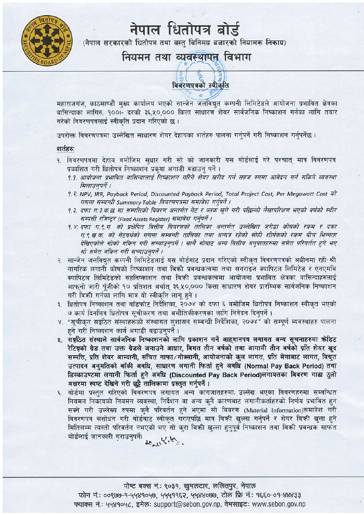

# नेपाल धितोपत्र बोर्ड

(नेपाल सरकारको धितोपत्र तथा वस्तु विनिमय बजारको नियामक निकाय)

### नियमन तथा व्यवस्थापन विभाग

# विवरणपत्रको स्वीकृति

महाराजगंज, काठमाण्डौं मुख्य कार्यालय भएको सान्जेन जलविद्युत कम्पनी लिमिटेडले आयोजना प्रभावित क्षेत्रका बासिन्दाका लागिरु, १००।- दरको ३६,५०,००० कित्ता साधारण शेयर सार्वजनिक निष्काशन गर्नका लागि तयार गरेको विवरणपत्रलाई स्वीकृति प्रदान गरिएको छ ।

उपरोक्त विवरणपत्रमा उल्लेखित साधारण शेयर देहायका शर्तहरु पालना गर्नुपर्ने गरी निष्काशन गर्नुपर्नेछ ।

#### शर्तहरु:

- <u>शतेहरुः</u><br>१. विवरणपत्रमा देहाय बमोजिम सुधार गरी सो को जानकारी यस बोर्डलाई गरे पश्चात् मात्र विवरणप<br>प्रकाशित गरी धितोपत्र निष्काशन प्रकृया अगाडी बढाउनु पर्ने ।<br>एक स्वार्थन करी कार्यालय की सामान की अंग्रेस प्रक्रिया पर सामा
	- प्रकाशित गरी धितोपत्र निष्काशन प्रकृया अगाडी बढाउनु पर्ने ।<br>*१.१. आयोजना प्रभावित वासिन्दालाई निष्काशन <i>गरिने शेयर खरीद गर्न सहज रुपमा आवेदन गर्न सकिने व्यवस्था मिलाउनपर्ने ।*
	- 9. ?. *NP\/, 1RR, Payback Period, Discounted Payback Period, Total Project Cost, Per Megawatt Cost W 7fUlrll' ~ Summary Table M?/?D/4:/J./l ~T 1f1rr;{ I*
	- <u>9.3. दफा ग.3 क.छ मा सम्पत्तिको विवरण अन्तर्गत नेट र ब्लक खुने गरी पछिल्लो लैखापरिक्षण भएको वर्षको र्स्थ</u> *~ ~ (Fixed Assets Register) ~T 1f1rr;{ <sup>I</sup>*
	- 9. ir: ~ *TT.~- TT. w ~ ~ Pl4<0/W ffTfc:rw JRfefn >3f'<1fifln ~ ffiW ?cP1:r r ~ TT. ~- lff. qi\_ qif ~ 7fUlrll' ~ ffTfc:rw n'</T 3{rl/:f".* ?frw *mfr ~~ ?cP1:r efrq- frF:rfn' ~fisi;q;)& eftqf/" "lffe.Ff" Tffr ~u/h:/r/4ef I* ?llW ~ *JRT' ~ 3/r/4/d#?iJ./I* m- *qf?qdd Pf 'J1<[*  दाखएकाल साका याकन गरा सच्याउनुपन । साय साबाट अन्य ।वत्ताय अनुपातहरुमा समत पारवतत हु<br>सो समेत यकिन गरी सच्याउनपर्ने ।
- *् सो समेत यकिन गरी सच्याउनुपर्ने ।*<br>२. सान्जेन जलविद्यत कम्पनी लिमिटेडलाई यस बोर्डबाट प्रदान गरिएको स्वीकत विवरणपत्रको अधीनमा रही श्री नागरिक लगानी कोषको निष्काशन तथा बिक्री प्रबन्धकत्वमा तथा सनराइज क्यापिटल लिमिटेड र एनएमबि क्यापिटल लिमिटेडको सहनिष्काशन तथा बिकी प्रवन्धकत्वमा आयोजना प्रभावित क्षेत्रका वासिन्दाहरुलाई आफुनो जारी पुँजीको १० प्रतिशत अर्थात् ३६,५०,००० कित्ता साधारण शेयर प्रारम्भिक सार्वजनिक निष्काशन गरी बिक्री गर्नका लागि मात्र यो स्वीकृति लागू हुने ।
- ३. धितोपत्र निष्काशन तथा बाँडफाँट निर्देशिका, २०७४ को दफा ६ बमोजिम धितोपत्र निष्काशन स्वीकृत भएको **७ कार्य दिनभित्र धितोपत्र सूचीकरण तथा अभौतिकीकरणका लागि निवेदन दिन्**पर्ने ।
- ४. "सूचीकृत सङ्गठित संस्थाहरूको संस्थागत सशासन सम्बन्धी निर्देशिका, २०७४" को सम्पूर्ण व्यवस्थाहरु पालना हने गरी निष्काशन कार्य अगाडी बढाउन्पर्ने ।
- x. सङ्गठित संस्थाले सार्वजनिक निष्काशनको लागि प्रकाशन गर्ने आहवानपत्र लगायत अन्य सूचनाहरुमा कोडिट रेटिङ्गको ग्रेड तथा उक्त ग्रेडले जनाउने आधार, विगत तीन वर्षको तथा आगामी तीन वर्षको प्रति शेयर खुद सम्पत्ति, प्रति शेयर आम्दानी, संचित नाफा/नोक्सानी, आयोजनाको कुल लागत, प्रति मेगावाट लागत, विद्युत उत्पादन अनुमतिको बाँकी अवधि, साधारण लगानी फिर्ता हुने अवधि (Normal Pay Back Period) तथा डिस्काउण्टमा लगानी फिर्ता हुने अवधि (Discounted Pay Back Period)लगायतका विवरण गाढा ठुलो अक्षरमा स्पष्ट देखिने गरी छट्टै तालिकामा प्रस्तुत गर्नुपर्ने।
- ~- अक्षरमा स्पष्ट दाखन गरा छुट्ट ताालकामा प्रस्तुत गनुपन ।<br>६. बोर्डमा प्रस्तुत गरिएको विवरणपत्र लगायत अन्य कागजातहरुमा. उल्लेख भएका विवरणहरुमा सम्बन्धिः rsस्काउण्टमा लगाना ग्फता हुन जवाब (Discounted Pay Back Penod)लगायतका गिवरण गाढा ठुला<br>अक्षरमा स्पष्ट देखिने गरी छुट्टै तालिकामा प्रस्तुत गर्नुपर्ने ।<br>बोर्डमा प्रस्तुत गरिएको विवरणपत्र लगायत अन्य कागजातहरुमा उल्लेख भएका विव नियमन निकायको नियमन व्यवस्था, निर्देशन वा अन्य कुनै कारणबाट लगानीकर्ताहरुको निर्णय प्रभावित हुन<br>सक्ने गरी उल्लेख्य रुपमा कुनै परिवर्तन हुने भएमा सो विवरण (Material Information)समावेश गरी विवरणपत्र संशोधन गरी बोर्डबाट स्वीकृत गराएपछि मात्र बिकी खुल्ला गर्नुपर्ने र शेयर बिकी खुला हुने मितिसम्म त्यस्तो परिवर्तन नभएको भए सो करा बिकी खल्ला हनपूर्व निष्काशन तथा बिकी प्रबन्धक मार्फत *"' t* c ,Cl *=t* <>11:S('tl~ \J11'1¢l<I '.1<1'31441 *u* \!'-

 $+ \frac{1}{2} \frac{1}{2} \frac{1}{2} \frac{1}{2} \frac{1}{2} \frac{1}{2} \frac{1}{2} \frac{1}{2} \frac{1}{2} \frac{1}{2} \frac{1}{2} \frac{1}{2} \frac{1}{2} \frac{1}{2} \frac{1}{2} \frac{1}{2} \frac{1}{2} \frac{1}{2} \frac{1}{2} \frac{1}{2} \frac{1}{2} \frac{1}{2} \frac{1}{2} \frac{1}{2} \frac{1}{2} \frac{1}{2} \frac{1}{2} \frac{1}{2} \frac{1}{2} \frac{1}{2} \frac{1}{2} \frac{$